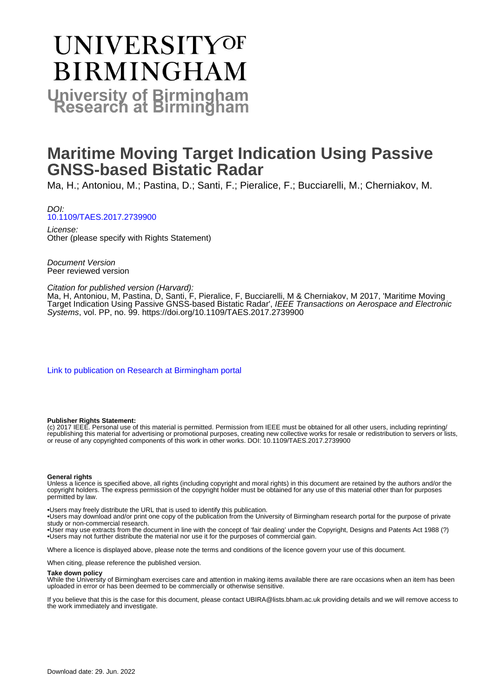# **UNIVERSITYOF BIRMINGHAM University of Birmingham**

## **Maritime Moving Target Indication Using Passive GNSS-based Bistatic Radar**

Ma, H.; Antoniou, M.; Pastina, D.; Santi, F.; Pieralice, F.; Bucciarelli, M.; Cherniakov, M.

DOI: [10.1109/TAES.2017.2739900](https://doi.org/10.1109/TAES.2017.2739900)

License: Other (please specify with Rights Statement)

Document Version Peer reviewed version

#### Citation for published version (Harvard):

Ma, H, Antoniou, M, Pastina, D, Santi, F, Pieralice, F, Bucciarelli, M & Cherniakov, M 2017, 'Maritime Moving Target Indication Using Passive GNSS-based Bistatic Radar', IEEE Transactions on Aerospace and Electronic Systems, vol. PP, no. 99. <https://doi.org/10.1109/TAES.2017.2739900>

[Link to publication on Research at Birmingham portal](https://birmingham.elsevierpure.com/en/publications/cf311bbd-545f-4f9a-98bf-2b996bab30b1)

#### **Publisher Rights Statement:**

(c) 2017 IEEE. Personal use of this material is permitted. Permission from IEEE must be obtained for all other users, including reprinting/ republishing this material for advertising or promotional purposes, creating new collective works for resale or redistribution to servers or lists, or reuse of any copyrighted components of this work in other works. DOI: 10.1109/TAES.2017.2739900

#### **General rights**

Unless a licence is specified above, all rights (including copyright and moral rights) in this document are retained by the authors and/or the copyright holders. The express permission of the copyright holder must be obtained for any use of this material other than for purposes permitted by law.

• Users may freely distribute the URL that is used to identify this publication.

• Users may download and/or print one copy of the publication from the University of Birmingham research portal for the purpose of private study or non-commercial research.

• User may use extracts from the document in line with the concept of 'fair dealing' under the Copyright, Designs and Patents Act 1988 (?) • Users may not further distribute the material nor use it for the purposes of commercial gain.

Where a licence is displayed above, please note the terms and conditions of the licence govern your use of this document.

When citing, please reference the published version.

#### **Take down policy**

While the University of Birmingham exercises care and attention in making items available there are rare occasions when an item has been uploaded in error or has been deemed to be commercially or otherwise sensitive.

If you believe that this is the case for this document, please contact UBIRA@lists.bham.ac.uk providing details and we will remove access to the work immediately and investigate.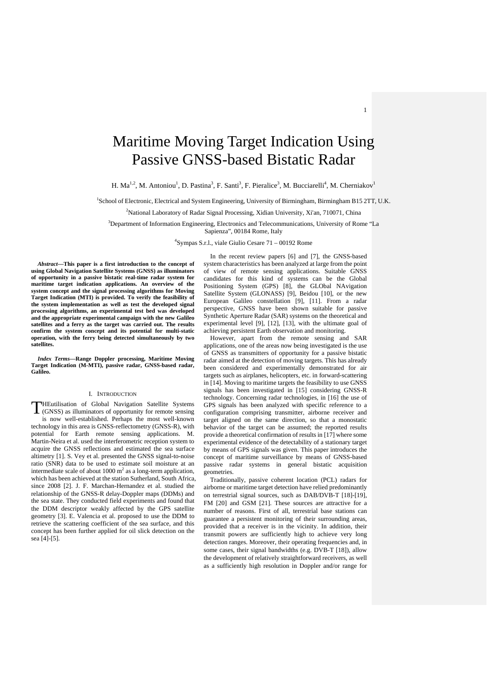### Maritime Moving Target Indication Using Passive GNSS-based Bistatic Radar

H. Ma<sup>1,2</sup>, M. Antoniou<sup>1</sup>, D. Pastina<sup>3</sup>, F. Santi<sup>3</sup>, F. Pieralice<sup>3</sup>, M. Bucciarelli<sup>4</sup>, M. Cherniakov<sup>1</sup>

1 School of Electronic, Electrical and System Engineering, University of Birmingham, Birmingham B15 2TT, U.K.

<sup>2</sup>National Laboratory of Radar Signal Processing, Xidian University, Xi'an, 710071, China

<sup>3</sup>Department of Information Engineering, Electronics and Telecommunications, University of Rome "La Sapienza", 00184 Rome, Italy

4 Sympas S.r.l., viale Giulio Cesare 71 – 00192 Rome

*Abstract***—This paper is a first introduction to the concept of using Global Navigation Satellite Systems (GNSS) as illuminators of opportunity in a passive bistatic real-time radar system for maritime target indication applications. An overview of the system concept and the signal processing algorithms for Moving Target Indication (MTI) is provided. To verify the feasibility of the system implementation as well as test the developed signal processing algorithms, an experimental test bed was developed and the appropriate experimental campaign with the new Galileo satellites and a ferry as the target was carried out. The results confirm the system concept and its potential for multi-static operation, with the ferry being detected simultaneously by two satellites.** 

*Index Terms***—Range Doppler processing, Maritime Moving Target Indication (M-MTI), passive radar, GNSS-based radar, Galileo.** 

#### I. INTRODUCTION

HEutilisation of Global Navigation Satellite Systems **THEutilisation of Global Navigation Satellite Systems** (GNSS) as illuminators of opportunity for remote sensing is now well-established. Perhaps the most well-known technology in this area is GNSS-reflectometry (GNSS-R), with potential for Earth remote sensing applications. M. Martin-Neira et al. used the interferometric reception system to acquire the GNSS reflections and estimated the sea surface altimetry [1]. S. Vey et al. presented the GNSS signal-to-noise ratio (SNR) data to be used to estimate soil moisture at an intermediate scale of about 1000  $m<sup>2</sup>$  as a long-term application, which has been achieved at the station Sutherland, South Africa, since 2008 [2]. J. F. Marchan-Hernandez et al. studied the relationship of the GNSS-R delay-Doppler maps (DDMs) and the sea state. They conducted field experiments and found that the DDM descriptor weakly affected by the GPS satellite geometry [3]. E. Valencia et al. proposed to use the DDM to retrieve the scattering coefficient of the sea surface, and this concept has been further applied for oil slick detection on the sea [4]-[5].

In the recent review papers [6] and [7], the GNSS-based system characteristics has been analyzed at large from the point of view of remote sensing applications. Suitable GNSS candidates for this kind of systems can be the Global Positioning System (GPS) [8], the GLObal NAvigation Satellite System (GLONASS) [9], Beidou [10], or the new European Galileo constellation [9], [11]. From a radar perspective, GNSS have been shown suitable for passive Synthetic Aperture Radar (SAR) systems on the theoretical and experimental level [9], [12], [13], with the ultimate goal of achieving persistent Earth observation and monitoring.

1

However, apart from the remote sensing and SAR applications, one of the areas now being investigated is the use of GNSS as transmitters of opportunity for a passive bistatic radar aimed at the detection of moving targets. This has already been considered and experimentally demonstrated for air targets such as airplanes, helicopters, etc. in forward-scattering in [14]. Moving to maritime targets the feasibility to use GNSS signals has been investigated in [15] considering GNSS-R technology. Concerning radar technologies, in [16] the use of GPS signals has been analyzed with specific reference to a configuration comprising transmitter, airborne receiver and target aligned on the same direction, so that a monostatic behavior of the target can be assumed; the reported results provide a theoretical confirmation of results in [17] where some experimental evidence of the detectability of a stationary target by means of GPS signals was given. This paper introduces the concept of maritime surveillance by means of GNSS-based passive radar systems in general bistatic acquisition geometries.

Traditionally, passive coherent location (PCL) radars for airborne or maritime target detection have relied predominantly on terrestrial signal sources, such as DAB/DVB-T [18]-[19], FM [20] and GSM [21]. These sources are attractive for a number of reasons. First of all, terrestrial base stations can guarantee a persistent monitoring of their surrounding areas, provided that a receiver is in the vicinity. In addition, their transmit powers are sufficiently high to achieve very long detection ranges. Moreover, their operating frequencies and, in some cases, their signal bandwidths (e.g. DVB-T [18]), allow the development of relatively straightforward receivers, as well as a sufficiently high resolution in Doppler and/or range for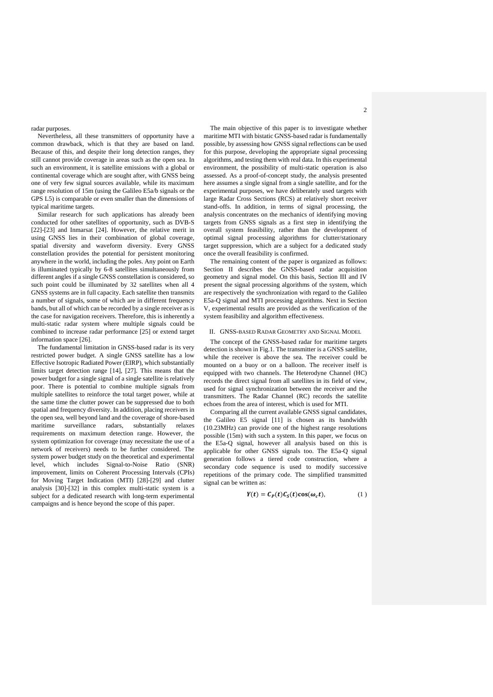radar purposes.

Nevertheless, all these transmitters of opportunity have a common drawback, which is that they are based on land. Because of this, and despite their long detection ranges, they still cannot provide coverage in areas such as the open sea. In such an environment, it is satellite emissions with a global or continental coverage which are sought after, with GNSS being one of very few signal sources available, while its maximum range resolution of 15m (using the Galileo E5a/b signals or the GPS L5) is comparable or even smaller than the dimensions of typical maritime targets.

Similar research for such applications has already been conducted for other satellites of opportunity, such as DVB-S [22]-[23] and Inmarsat [24]. However, the relative merit in using GNSS lies in their combination of global coverage, spatial diversity and waveform diversity. Every GNSS constellation provides the potential for persistent monitoring anywhere in the world, including the poles. Any point on Earth is illuminated typically by 6-8 satellites simultaneously from different angles if a single GNSS constellation is considered, so such point could be illuminated by 32 satellites when all 4 GNSS systems are in full capacity. Each satellite then transmits a number of signals, some of which are in different frequency bands, but all of which can be recorded by a single receiver as is the case for navigation receivers. Therefore, this is inherently a multi-static radar system where multiple signals could be combined to increase radar performance [25] or extend target information space [26].

The fundamental limitation in GNSS-based radar is its very restricted power budget. A single GNSS satellite has a low Effective Isotropic Radiated Power (EIRP), which substantially limits target detection range [14], [27]. This means that the power budget for a single signal of a single satellite is relatively poor. There is potential to combine multiple signals from multiple satellites to reinforce the total target power, while at the same time the clutter power can be suppressed due to both spatial and frequency diversity. In addition, placing receivers in the open sea, well beyond land and the coverage of shore-based maritime surveillance radars, substantially relaxes requirements on maximum detection range. However, the system optimization for coverage (may necessitate the use of a network of receivers) needs to be further considered. The system power budget study on the theoretical and experimental level, which includes Signal-to-Noise Ratio (SNR) improvement, limits on Coherent Processing Intervals (CPIs) for Moving Target Indication (MTI) [28]-[29] and clutter analysis [30]-[32] in this complex multi-static system is a subject for a dedicated research with long-term experimental campaigns and is hence beyond the scope of this paper.

The main objective of this paper is to investigate whether maritime MTI with bistatic GNSS-based radar is fundamentally possible, by assessing how GNSS signal reflections can be used for this purpose, developing the appropriate signal processing algorithms, and testing them with real data. In this experimental environment, the possibility of multi-static operation is also assessed. As a proof-of-concept study, the analysis presented here assumes a single signal from a single satellite, and for the experimental purposes, we have deliberately used targets with large Radar Cross Sections (RCS) at relatively short receiver stand-offs. In addition, in terms of signal processing, the analysis concentrates on the mechanics of identifying moving targets from GNSS signals as a first step in identifying the overall system feasibility, rather than the development of optimal signal processing algorithms for clutter/stationary target suppression, which are a subject for a dedicated study once the overall feasibility is confirmed.

The remaining content of the paper is organized as follows: Section II describes the GNSS-based radar acquisition geometry and signal model. On this basis, Section III and IV present the signal processing algorithms of the system, which are respectively the synchronization with regard to the Galileo E5a-Q signal and MTI processing algorithms. Next in Section V, experimental results are provided as the verification of the system feasibility and algorithm effectiveness.

#### II. GNSS-BASED RADAR GEOMETRY AND SIGNAL MODEL

The concept of the GNSS-based radar for maritime targets detection is shown in Fig.1. The transmitter is a GNSS satellite, while the receiver is above the sea. The receiver could be mounted on a buoy or on a balloon. The receiver itself is equipped with two channels. The Heterodyne Channel (HC) records the direct signal from all satellites in its field of view, used for signal synchronization between the receiver and the transmitters. The Radar Channel (RC) records the satellite echoes from the area of interest, which is used for MTI.

Comparing all the current available GNSS signal candidates, the Galileo E5 signal [11] is chosen as its bandwidth (10.23MHz) can provide one of the highest range resolutions possible (15m) with such a system. In this paper, we focus on the E5a-Q signal, however all analysis based on this is applicable for other GNSS signals too. The E5a-Q signal generation follows a tiered code construction, where a secondary code sequence is used to modify successive repetitions of the primary code. The simplified transmitted signal can be written as:

$$
Y(t) = C_P(t)C_S(t)\cos(\omega_c t), \qquad (1)
$$

 $\overline{2}$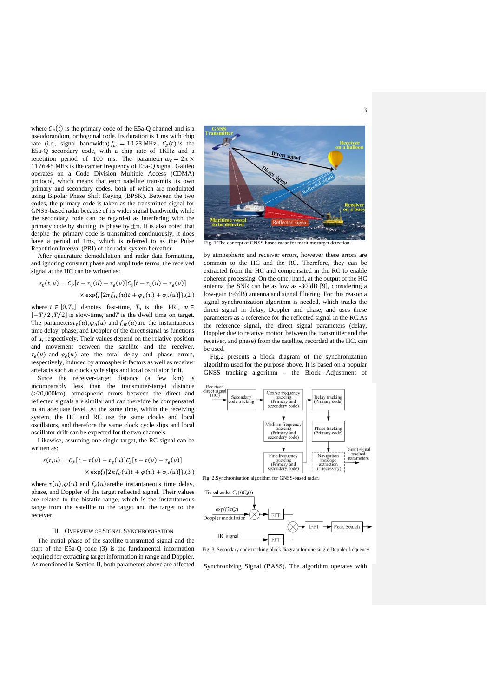3

where  $C_p(t)$  is the primary code of the E5a-Q channel and is a pseudorandom, orthogonal code. Its duration is 1 ms with chip rate (i.e., signal bandwidth)  $f_{cr} = 10.23 \text{ MHz}$ .  $C_s(t)$  is the E5a-Q secondary code, with a chip rate of 1KHz and a repetition period of 100 ms. The parameter  $\omega_c = 2\pi \times$ 1176.45 MHz is the carrier frequency of E5a-Q signal. Galileo operates on a Code Division Multiple Access (CDMA) protocol, which means that each satellite transmits its own primary and secondary codes, both of which are modulated using Bipolar Phase Shift Keying (BPSK). Between the two codes, the primary code is taken as the transmitted signal for GNSS-based radar because of its wider signal bandwidth, while the secondary code can be regarded as interfering with the primary code by shifting its phase by  $±π$ . It is also noted that despite the primary code is transmitted continuously, it does have a period of 1ms, which is referred to as the Pulse Repetition Interval (PRI) of the radar system hereafter.

After quadrature demodulation and radar data formatting, and ignoring constant phase and amplitude terms, the received signal at the HC can be written as:

$$
s_0(t, u) = C_P[t - \tau_0(u) - \tau_e(u)]C_S[t - \tau_0(u) - \tau_e(u)]
$$
  
× exp{*j*[*2* $\pi f_{d0}(u)t + \varphi_0(u) + \varphi_e(u)]$ }, (2)

where  $t \in [0, T_s]$  denotes fast-time,  $T_s$  is the PRI,  $u \in$  $[-T/2, T/2]$  is slow-time, and T is the dwell time on target. The parameters  $\tau_0(u), \varphi_0(u)$  and  $f_{d0}(u)$  are the instantaneous time delay, phase, and Doppler of the direct signal as functions of  $u$ , respectively. Their values depend on the relative position and movement between the satellite and the receiver.  $\tau_e(u)$  and  $\varphi_e(u)$  are the total delay and phase errors, respectively, induced by atmospheric factors as well as receiver artefacts such as clock cycle slips and local oscillator drift.

Since the receiver-target distance (a few km) is incomparably less than the transmitter-target distance (>20,000km), atmospheric errors between the direct and reflected signals are similar and can therefore be compensated to an adequate level. At the same time, within the receiving system, the HC and RC use the same clocks and local oscillators, and therefore the same clock cycle slips and local oscillator drift can be expected for the two channels.

Likewise, assuming one single target, the RC signal can be written as:

$$
s(t, u) = C_P[t - \tau(u) - \tau_e(u)]C_S[t - \tau(u) - \tau_e(u)]
$$

$$
\times \exp\{j[2\pi f_d(u)t + \varphi(u) + \varphi_e(u)]\}, (3)
$$

where  $\tau(u)$ ,  $\varphi(u)$  and  $f_d(u)$  arethe instantaneous time delay, phase, and Doppler of the target reflected signal. Their values are related to the bistatic range, which is the instantaneous range from the satellite to the target and the target to the receiver.

#### III. OVERVIEW OF SIGNAL SYNCHRONISATION

The initial phase of the satellite transmitted signal and the start of the E5a-Q code (3) is the fundamental information required for extracting target information in range and Doppler. As mentioned in Section II, both parameters above are affected



Fig. 1. The concept of GNSS-based radar for maritime target detection.

by atmospheric and receiver errors, however these errors are common to the HC and the RC. Therefore, they can be extracted from the HC and compensated in the RC to enable coherent processing. On the other hand, at the output of the HC antenna the SNR can be as low as -30 dB [9], considering a low-gain (~6dB) antenna and signal filtering. For this reason a signal synchronization algorithm is needed, which tracks the direct signal in delay, Doppler and phase, and uses these parameters as a reference for the reflected signal in the RC.As the reference signal, the direct signal parameters (delay, Doppler due to relative motion between the transmitter and the receiver, and phase) from the satellite, recorded at the HC, can be used.

Fig.2 presents a block diagram of the synchronization algorithm used for the purpose above. It is based on a popular GNSS tracking algorithm – the Block Adjustment of



Fig. 2.Synchronisation algorithm for GNSS-based radar.



Fig. 3. Secondary code tracking block diagram for one single Doppler frequency.

Synchronizing Signal (BASS). The algorithm operates with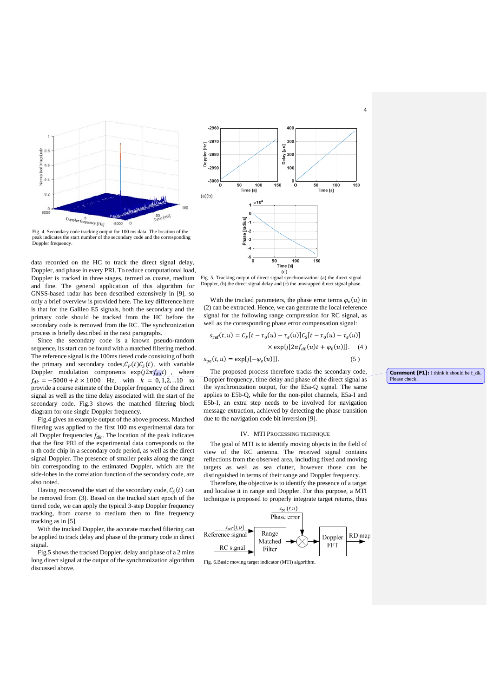



data recorded on the HC to track the direct signal delay, Doppler, and phase in every PRI. To reduce computational load, Doppler is tracked in three stages, termed as coarse, medium and fine. The general application of this algorithm for GNSS-based radar has been described extensively in [9], so only a brief overview is provided here. The key difference here is that for the Galileo E5 signals, both the secondary and the primary code should be tracked from the HC before the secondary code is removed from the RC. The synchronization process is briefly described in the next paragraphs.

Since the secondary code is a known pseudo-random sequence, its start can be found with a matched filtering method. The reference signal is the 100ms tiered code consisting of both the primary and secondary codes,  $C_P(t)C_S(t)$ , with variable Doppler modulation components  $exp(j2\pi f_{d0}t)$ , where  $f_{dk} = -5000 + k \times 1000$  Hz, with  $k = 0, 1, 2, ... 10$  to provide a coarse estimate of the Doppler frequency of the direct signal as well as the time delay associated with the start of the secondary code. Fig.3 shows the matched filtering block diagram for one single Doppler frequency.

Fig.4 gives an example output of the above process. Matched filtering was applied to the first 100 ms experimental data for all Doppler frequencies  $f_{dk}$ . The location of the peak indicates that the first PRI of the experimental data corresponds to the n-th code chip in a secondary code period, as well as the direct signal Doppler. The presence of smaller peaks along the range bin corresponding to the estimated Doppler, which are the side-lobes in the correlation function of the secondary code, are also noted.

Having recovered the start of the secondary code,  $C_S(t)$  can be removed from (3). Based on the tracked start epoch of the tiered code, we can apply the typical 3-step Doppler frequency tracking, from coarse to medium then to fine frequency tracking as in [5].

With the tracked Doppler, the accurate matched filtering can be applied to track delay and phase of the primary code in direct signal.

Fig.5 shows the tracked Doppler, delay and phase of a 2 mins long direct signal at the output of the synchronization algorithm discussed above.



Fig. 5. Tracking output of direct signal synchronization: (a) the direct signal Doppler, (b) the direct signal delay and (c) the unwrapped direct signal phase.

With the tracked parameters, the phase error terms  $\varphi_e(u)$  in (2) can be extracted. Hence, we can generate the local reference signal for the following range compression for RC signal, as well as the corresponding phase error compensation signal:

$$
s_{\text{ref}}(t, u) = C_P[t - \tau_0(u) - \tau_e(u)]C_S[t - \tau_0(u) - \tau_e(u)]
$$
  
×  $\exp\{j[2\pi f_{d0}(u)t + \varphi_0(u)]\}$ . (4)  

$$
s_{\text{pe}}(t, u) = \exp\{j[-\varphi_e(u)]\}.
$$
 (5)

The proposed process therefore tracks the secondary code, Doppler frequency, time delay and phase of the direct signal as the synchronization output, for the E5a-Q signal. The same applies to E5b-Q, while for the non-pilot channels, E5a-I and E5b-I, an extra step needs to be involved for navigation message extraction, achieved by detecting the phase transition due to the navigation code bit inversion [9].

#### IV. MTI PROCESSING TECHNIQUE

The goal of MTI is to identify moving objects in the field of view of the RC antenna. The received signal contains reflections from the observed area, including fixed and moving targets as well as sea clutter, however those can be distinguished in terms of their range and Doppler frequency.

Therefore, the objective is to identify the presence of a target and localise it in range and Doppler. For this purpose, a MTI technique is proposed to properly integrate target returns, thus



Fig. 6.Basic moving target indicator (MTI) algorithm.

**Comment [F1]:** I think it should be f\_dk. Please check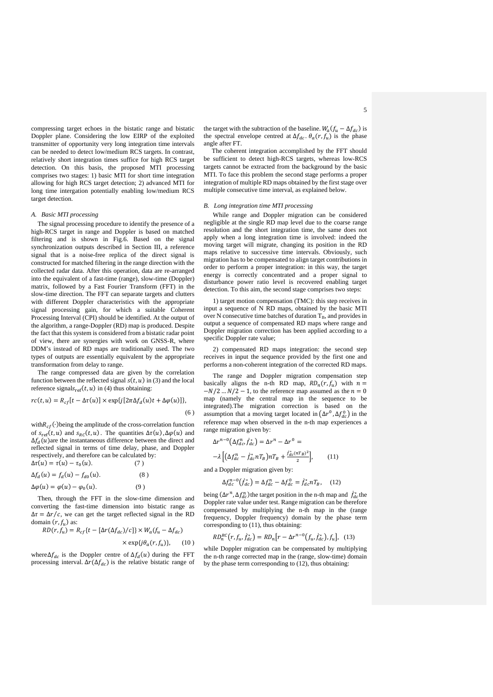compressing target echoes in the bistatic range and bistatic Doppler plane. Considering the low EIRP of the exploited transmitter of opportunity very long integration time intervals can be needed to detect low/medium RCS targets. In contrast, relatively short integration times suffice for high RCS target detection. On this basis, the proposed MTI processing comprises two stages: 1) basic MTI for short time integration allowing for high RCS target detection; 2) advanced MTI for long time intergation potentially enabling low/medium RCS target detection.

#### *A. Basic MTI processing*

The signal processing procedure to identify the presence of a high-RCS target in range and Doppler is based on matched filtering and is shown in Fig.6. Based on the signal synchronization outputs described in Section III, a reference signal that is a noise-free replica of the direct signal is constructed for matched filtering in the range direction with the collected radar data. After this operation, data are re-arranged into the equivalent of a fast-time (range), slow-time (Doppler) matrix, followed by a Fast Fourier Transform (FFT) in the slow-time direction. The FFT can separate targets and clutters with different Doppler characteristics with the appropriate signal processing gain, for which a suitable Coherent Processing Interval (CPI) should be identified. At the output of the algorithm, a range-Doppler (RD) map is produced. Despite the fact that this system is considered from a bistatic radar point of view, there are synergies with work on GNSS-R, where DDM's instead of RD maps are traditionally used. The two types of outputs are essentially equivalent by the appropriate transformation from delay to range.

The range compressed data are given by the correlation function between the reflected signal  $s(t, u)$  in (3) and the local reference signals<sub>ref</sub> $(t, u)$  in (4) thus obtaining:

$$
rc(t, u) = R_{cf}[t - \Delta \tau(u)] \times \exp\{j[2\pi \Delta f_d(u)t + \Delta \varphi(u)]\},\
$$

with $R_{cf}(\cdot)$ being the amplitude of the cross-correlation function of  $s_{ref}(t, u)$  and  $s_{RC}(t, u)$ . The quantities  $\Delta \tau(u)$ ,  $\Delta \varphi(u)$  and  $\Delta f_d(u)$  are the instantaneous difference between the direct and reflected signal in terms of time delay, phase, and Doppler respectively, and therefore can be calculated by:  $\Lambda \tau(u) = \tau(u) - \tau_0(u).$ 

$$
\Delta t(u) = t(u) - t_0(u). \tag{7}
$$
  

$$
\Delta f_d(u) = f_d(u) - f_{d0}(u). \tag{8}
$$

$$
\Delta \varphi(u) = \varphi(u) - \varphi_0(u). \tag{9}
$$

Then, through the FFT in the slow-time dimension and converting the fast-time dimension into bistatic range as  $\Delta \tau = \Delta r/c$ , we can get the target reflected signal in the RD domain  $(r, f_u)$  as:

$$
RD(r, f_u) = R_{cf}\{t - [\Delta r(\Delta f_{dc})/c]\} \times W_a(f_u - \Delta f_{dc})
$$
  
 
$$
\times \exp\{j\theta_a(r, f_u)\}, \qquad (10)
$$

where  $\Delta f_{dc}$  is the Doppler centre of  $\Delta f_d(u)$  during the FFT processing interval.  $\Delta r(\Delta f_{dc})$  is the relative bistatic range of the target with the subtraction of the baseline.  $W_a(f_u - \Delta f_{dc})$  is the spectral envelope centred at  $\Delta f_{dc}$ .  $\theta_a(r, f_u)$  is the phase angle after FT.

 The coherent integration accomplished by the FFT should be sufficient to detect high-RCS targets, whereas low-RCS targets cannot be extracted from the background by the basic MTI. To face this problem the second stage performs a proper integration of multiple RD maps obtained by the first stage over multiple consecutive time interval, as explained below.

#### *B. Long integration time MTI processing*

While range and Doppler migration can be considered negligible at the single RD map level due to the coarse range resolution and the short integration time, the same does not apply when a long integration time is involved: indeed the moving target will migrate, changing its position in the RD maps relative to successive time intervals. Obviously, such migration has to be compensated to align target contributions in order to perform a proper integration: in this way, the target energy is correctly concentrated and a proper signal to disturbance power ratio level is recovered enabling target detection. To this aim, the second stage comprises two steps:

1) target motion compensation (TMC): this step receives in input a sequence of N RD maps, obtained by the basic MTI over N consecutive time batches of duration  $T_B$ , and provides in output a sequence of compensated RD maps where range and Doppler migration correction has been applied according to a specific Doppler rate value;

2) compensated RD maps integration: the second step receives in input the sequence provided by the first one and performs a non-coherent integration of the corrected RD maps.

The range and Doppler migration compensation step basically aligns the n-th RD map,  $RD_n(r, f_n)$  with  $n =$  $-N/2$  …  $N/2 - 1$ , to the reference map assumed as the  $n = 0$ map (namely the central map in the sequence to be integrated).The migration correction is based on the assumption that a moving target located in  $(\Delta r^0, \Delta f_{dc}^0)$  in the reference map when observed in the n-th map experiences a range migration given by:

$$
\Delta r^{n-0} \left( \Delta f_{dc}^n, \dot{f}_{dc}^* \right) = \Delta r^n - \Delta r^0 =
$$
  
- $\lambda \left[ \left( \Delta f_{dc}^n - \dot{f}_{dc}^* n T_B \right) n T_B + \frac{\dot{f}_{dc}^* (n T_B)^2}{2} \right],$  (11)

and a Doppler migration given by:

 $(6)$ 

$$
\Delta f_{dc}^{n-0}(\dot{f}_{dc}^*) = \Delta f_{dc}^n - \Delta f_{dc}^0 = \dot{f}_{dc}^* n T_B, \quad (12)
$$

being  $(\Delta r^n, \Delta f_{dc}^n)$  the target position in the n-th map and  $\dot{f}_{dc}^*$  the Doppler rate value under test. Range migration can be therefore compensated by multiplying the n-th map in the (range frequency, Doppler frequency) domain by the phase term corresponding to (11), thus obtaining:

$$
RD_n^{RC}(r, f_u, f_{dc}^*) = RD_n[r - \Delta r^{n-0}(f_u, f_{dc}^*), f_u], \quad (13)
$$

while Doppler migration can be compensated by multiplying the n-th range corrected map in the (range, slow-time) domain by the phase term corresponding to (12), thus obtaining: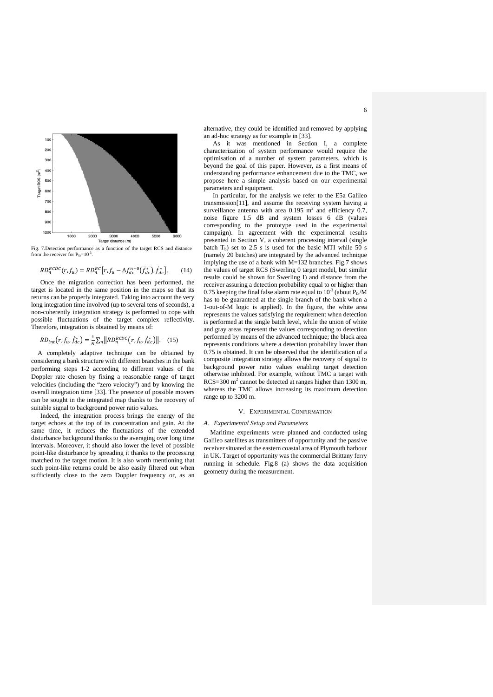

Fig. 7.Detection performance as a function of the target RCS and distance from the receiver for  $P_{fa}=10^{-3}$ .

$$
RD_n^{RCDC}(r, f_u) = RD_n^{RC}[r, f_u - \Delta f_{dc}^{n-0}(\dot{f}_{dc}^*), \dot{f}_{dc}^*].
$$
 (14)

Once the migration correction has been performed, the target is located in the same position in the maps so that its returns can be properly integrated. Taking into account the very long integration time involved (up to several tens of seconds), a non-coherently integration strategy is performed to cope with possible fluctuations of the target complex reflectivity. Therefore, integration is obtained by means of:

### $RD_{int}(r, f_u, \dot{f}_{dc}^*) = \frac{1}{N} \sum_n ||RD_n^{RCDC}(r, f_u, \dot{f}_{dc}^*)||.$  (15)

A completely adaptive technique can be obtained by considering a bank structure with different branches in the bank performing steps 1-2 according to different values of the Doppler rate chosen by fixing a reasonable range of target velocities (including the "zero velocity") and by knowing the overall integration time [33]. The presence of possible movers can be sought in the integrated map thanks to the recovery of suitable signal to background power ratio values.

Indeed, the integration process brings the energy of the target echoes at the top of its concentration and gain. At the same time, it reduces the fluctuations of the extended disturbance background thanks to the averaging over long time intervals. Moreover, it should also lower the level of possible point-like disturbance by spreading it thanks to the processing matched to the target motion. It is also worth mentioning that such point-like returns could be also easily filtered out when sufficiently close to the zero Doppler frequency or, as an

alternative, they could be identified and removed by applying an ad-hoc strategy as for example in [33].

As it was mentioned in Section I, a complete characterization of system performance would require the optimisation of a number of system parameters, which is beyond the goal of this paper. However, as a first means of understanding performance enhancement due to the TMC, we propose here a simple analysis based on our experimental parameters and equipment.

In particular, for the analysis we refer to the E5a Galileo transmission[11], and assume the receiving system having a surveillance antenna with area  $0.195$  m<sup>2</sup> and efficiency  $0.7$ , noise figure 1.5 dB and system losses 6 dB (values corresponding to the prototype used in the experimental campaign). In agreement with the experimental results presented in Section V, a coherent processing interval (single batch  $T_b$ ) set to 2.5 s is used for the basic MTI while 50 s (namely 20 batches) are integrated by the advanced technique implying the use of a bank with M=132 branches. Fig.7 shows the values of target RCS (Swerling 0 target model, but similar results could be shown for Swerling I) and distance from the receiver assuring a detection probability equal to or higher than 0.75 keeping the final false alarm rate equal to  $10^{-3}$  (about P<sub>fa</sub>/M has to be guaranteed at the single branch of the bank when a 1-out-of-M logic is applied). In the figure, the white area represents the values satisfying the requirement when detection is performed at the single batch level, while the union of white and gray areas represent the values corresponding to detection performed by means of the advanced technique; the black area represents conditions where a detection probability lower than  $0.75$  is obtained. It can be observed that the identification of a composite integration strategy allows the recovery of signal to background power ratio values enabling target detection otherwise inhibited. For example, without TMC a target with  $RCS = 300$  m<sup>2</sup> cannot be detected at ranges higher than 1300 m, whereas the TMC allows increasing its maximum detection range up to 3200 m.

#### V. EXPERIMENTAL CONFIRMATION

#### *A. Experimental Setup and Parameters*

Maritime experiments were planned and conducted using Galileo satellites as transmitters of opportunity and the passive receiver situated at the eastern coastal area of Plymouth harbour in UK. Target of opportunity was the commercial Brittany ferry running in schedule. Fig.8 (a) shows the data acquisition geometry during the measurement.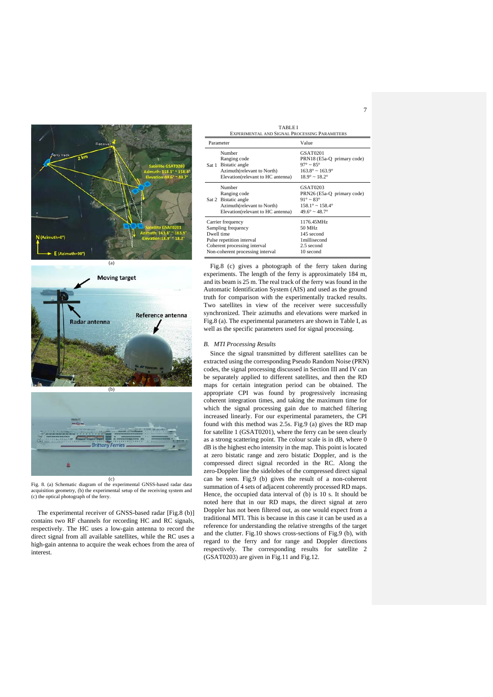





Fig. 8. (a) Schematic diagram of the experimental GNSS-based radar data acquisition geometry, (b) the experimental setup of the receiving system and (c) the optical photograph of the ferry.

The experimental receiver of GNSS-based radar [Fig.8 (b)] contains two RF channels for recording HC and RC signals, respectively. The HC uses a low-gain antenna to record the direct signal from all available satellites, while the RC uses a high-gain antenna to acquire the weak echoes from the area of interest.

| <b>TABLEI</b><br>EXPERIMENTAL AND SIGNAL PROCESSING PARAMETERS                                                                                         |                                                                                                                    |                                                                                                                                                     |  |  |
|--------------------------------------------------------------------------------------------------------------------------------------------------------|--------------------------------------------------------------------------------------------------------------------|-----------------------------------------------------------------------------------------------------------------------------------------------------|--|--|
| Parameter                                                                                                                                              |                                                                                                                    | Value                                                                                                                                               |  |  |
|                                                                                                                                                        | Number<br>Ranging code<br>Sat 1 Bistatic angle<br>Azimuth(relevant to North)<br>Elevation(relevant to HC antenna)  | <b>GSAT0201</b><br>PRN18 (E5a-Q primary code)<br>$97^\circ \sim 85^\circ$<br>$163.8^{\circ} \sim 163.9^{\circ}$<br>$18.9^{\circ} \sim 18.2^{\circ}$ |  |  |
|                                                                                                                                                        | Number<br>Ranging code<br>Sat 2 Bistatic angle<br>Azimuth(relevant to North)<br>Elevation (relevant to HC antenna) | GSAT0203<br>PRN26 (E5a-Q primary code)<br>$91^{\circ} \sim 83^{\circ}$<br>$158.1^{\circ} \sim 158.4^{\circ}$<br>$49.6^{\circ} \sim 48.7^{\circ}$    |  |  |
| Carrier frequency<br>Sampling frequency<br>Dwell time<br>Pulse repetition interval<br>Coherent processing interval<br>Non-coherent processing interval |                                                                                                                    | 1176.45MHz<br>50 MHz<br>145 second<br>1millisecond<br>2.5 second<br>10 second                                                                       |  |  |

Fig.8 (c) gives a photograph of the ferry taken during experiments. The length of the ferry is approximately 184 m, and its beam is 25 m. The real track of the ferry was found in the Automatic Identification System (AIS) and used as the ground truth for comparison with the experimentally tracked results. Two satellites in view of the receiver were successfully synchronized. Their azimuths and elevations were marked in Fig.8 (a). The experimental parameters are shown in Table I, as well as the specific parameters used for signal processing.

#### *B. MTI Processing Results*

Since the signal transmitted by different satellites can be extracted using the corresponding Pseudo Random Noise (PRN) codes, the signal processing discussed in Section III and IV can be separately applied to different satellites, and then the RD maps for certain integration period can be obtained. The appropriate CPI was found by progressively increasing coherent integration times, and taking the maximum time for which the signal processing gain due to matched filtering increased linearly. For our experimental parameters, the CPI found with this method was 2.5s. Fig.9 (a) gives the RD map for satellite 1 (GSAT0201), where the ferry can be seen clearly as a strong scattering point. The colour scale is in dB, where 0 dB is the highest echo intensity in the map. This point is located at zero bistatic range and zero bistatic Doppler, and is the compressed direct signal recorded in the RC. Along the zero-Doppler line the sidelobes of the compressed direct signal can be seen. Fig.9 (b) gives the result of a non-coherent summation of 4 sets of adjacent coherently processed RD maps. Hence, the occupied data interval of (b) is 10 s. It should be noted here that in our RD maps, the direct signal at zero Doppler has not been filtered out, as one would expect from a traditional MTI. This is because in this case it can be used as a reference for understanding the relative strengths of the target and the clutter. Fig.10 shows cross-sections of Fig.9 (b), with regard to the ferry and for range and Doppler directions respectively. The corresponding results for satellite 2 (GSAT0203) are given in Fig.11 and Fig.12.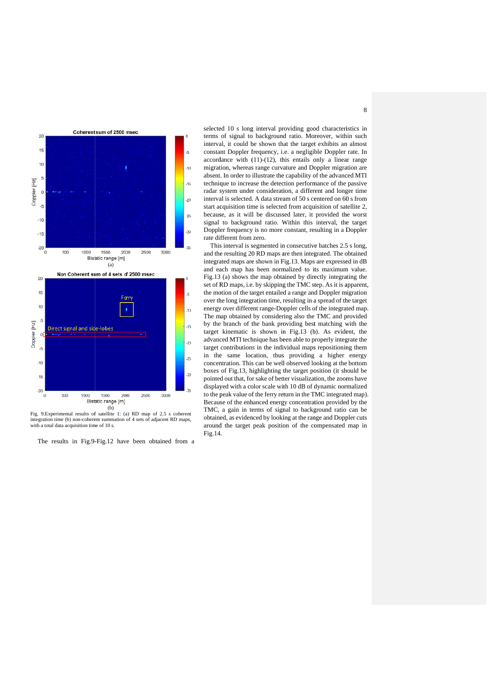

Fig. 9. Experimental results of satellite 1: (a) RD map of 2.5 s coherent integration time (b) non-coherent summation of 4 sets of adjacent RD maps, with a total data acquisition time of 10 s.

The results in Fig.9-Fig.12 have been obtained from a

selected 10 s long interval providing good characteristics in terms of signal to background ratio. Moreover, within such interval, it could be shown that the target exhibits an almost constant Doppler frequency, i.e. a negligible Doppler rate. In  $accordance$  with  $(11)-(12)$ , this entails only a linear range migration, whereas range curvature and Doppler migration are absent. In order to illustrate the capability of the advanced MTI technique to increase the detection performance of the passive radar system under consideration, a different and longer time interval is selected. A data stream of 50 s centered on 60 s from start acquisition time is selected from acquisition of satellite 2, because, as it will be discussed later, it provided the worst signal to background ratio. Within this interval, the target Doppler frequency is no more constant, resulting in a Doppler rate different from zero.

This interval is segmented in consecutive batches 2.5 s long, and the resulting 20 RD maps are then integrated. The obtained integrated maps are shown in Fig.13. Maps are expressed in dB and each map has been normalized to its maximum value. Fig.13 (a) shows the map obtained by directly integrating the set of RD maps, i.e. by skipping the TMC step. As it is apparent, the motion of the target entailed a range and Doppler migration over the long integration time, resulting in a spread of the target energy over different range-Doppler cells of the integrated map. The map obtained by considering also the TMC and provided by the branch of the bank providing best matching with the target kinematic is shown in Fig.13 (b). As evident, the advanced MTI technique has been able to properly integrate the target contributions in the individual maps repositioning them in the same location, thus providing a higher energy concentration. This can be well observed looking at the bottom boxes of Fig.13, highlighting the target position (it should be pointed out that, for sake of better visualization, the zooms have displayed with a color scale with 10 dB of dynamic normalized to the peak value of the ferry return in the TMC integrated map). Because of the enhanced energy concentration provided by the TMC, a gain in terms of signal to background ratio can be obtained, as evidenced by looking at the range and Doppler cuts around the target peak position of the compensated map in Fig.14 .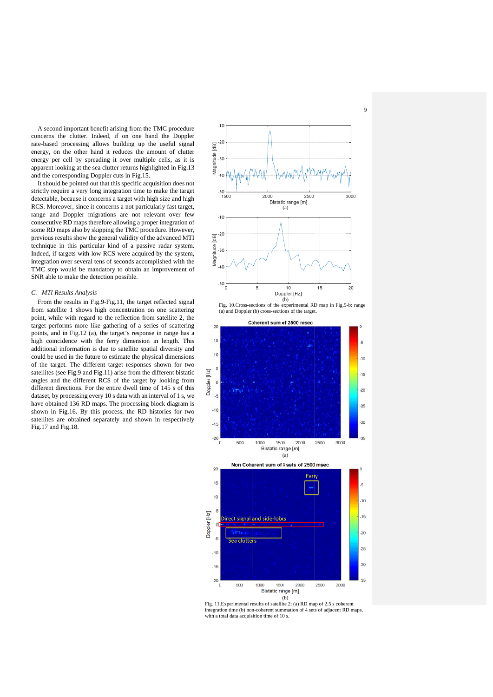concerns the clutter. Indeed, if on one hand the Doppler rate-based processing allows building up the useful signal energy, on the other hand it reduces the amount of clutter energy per cell by spreading it over multiple cells, as it is apparent looking at the sea clutter returns highlighted in Fig.13 and the corresponding Doppler cuts in Fig.15. A second important benefit arising from the TMC procedure

strictly require a very long integration time to make the target detectable, because it concerns a target with high size and high RCS. Moreover, since it concerns a not particularly fast target, range and Doppler migrations are not relevant over few consecutive RD maps therefore allowing a proper integration of some RD maps also by skipping the TMC procedure. However, previous results show the general validity of the advanced MTI technique in this particular kind of a passive radar system. Indeed, if targets with low RCS were acquired by the system, integration over several tens of seconds accomplished with the TMC step would be mandatory to obtain an improvement of SNR able to make the detection possible. It should be pointed out that this specific acquisition does not

#### $C$ . *MTI Results Analysis*

from satellite 1 shows high concentration on one scattering point, while with regard to the reflection from satellite 2, the target performs more like gathering of a series of scattering points, and in Fig.12 (a), the target's response in range has a high coincidence with the ferry dimension in length. This additional information is due to satellite spatial diversity and could be used in the future to estimate the physical dimensions of the target. The different target responses shown for two satellites (see Fig.9 and Fig.11) arise from the different bistatic angles and the different RCS of the target by looking from different directions. For the entire dwell time of 145 s of this dataset, by processing every 10 s data with an interval of 1 s, we have obtained 136 RD maps. The processing block diagram is shown in Fig.16. By this process, the RD histories for two satellites are obtained separately and shown in respectively F Fig.17 and F Fig.18. From the results in Fig.9-Fig.11, the target reflected signal



Fig. 10. Cross-sections of the experimental RD map in Fig. 9-b: range (a) and Doppler (b) cross-sections of the target.



Fig. 11. Experimental results of satellite 2: (a) RD map of 2.5 s coherent integration time (b) non-coherent summation of 4 sets of adjacent RD maps, with a total data acquisition time of 10 s.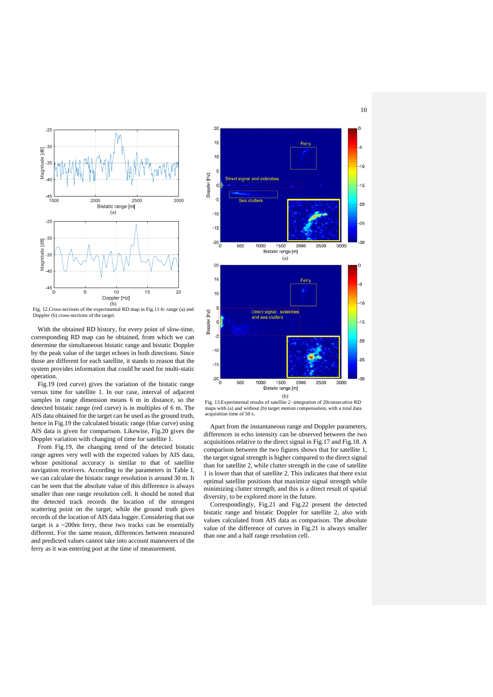

Fig. 12.Cross-sections of the experimental RD map in Fig.11-b: range (a) and

With the obtained RD history, for every point of slow-time, corresponding RD map can be obtained, from which we can determine the simultaneous bistatic range and bistatic Doppler by the peak value of the target echoes in both directions. Since those are different for each satellite, it stands to reason that the system provides information that could be used for multi-static operation.

Fig.19 (red curve) gives the variation of the bistatic range versus time for satellite 1. In our case, interval of adjacent samples in range dimension means 6 m in distance, so the detected bistatic range (red curve) is in multiples of 6 m. The AIS data obtained for the target can be used as the ground truth, hence in Fig.19 the calculated bistatic range (blue curve) using AIS data is given for comparison. Likewise, Fig.20 gives the Doppler variation with changing of time for satellite 1.

From Fig.19, the changing trend of the detected bistatic range agrees very well with the expected values by AIS data, whose positional accuracy is similar to that of satellite navigation receivers. According to the parameters in Table I, we can calculate the bistatic range resolution is around 30 m. It can be seen that the absolute value of this difference is always smaller than one range resolution cell. It should be noted that the detected track records the location of the strongest scattering point on the target, while the ground truth gives records of the location of AIS data logger. Considering that our target is a ~200m ferry, these two tracks can be essentially different. For the same reason, differences between measured and predicted values cannot take into account maneuvers of the ferry as it was entering port at the time of measurement.



Fig. 13.Experimental results of satellite 2 -integration of 20consecutive RD maps with (a) and without (b) target motion compensation, with a total data acquisition time of 50 s.

Apart from the instantaneous range and Doppler parameters, differences in echo intensity can be observed between the two acquisitions relative to the direct signal in Fig.17 and Fig.18. A comparison between the two figures shows that for satellite 1, the target signal strength is higher compared to the direct signal than for satellite 2, while clutter strength in the case of satellite 1 is lower than that of satellite 2. This indicates that there exist optimal satellite positions that maximize signal strength while minimizing clutter strength, and this is a direct result of spatial diversity, to be explored more in the future.

Correspondingly, Fig.21 and Fig.22 present the detected bistatic range and bistatic Doppler for satellite 2, also with values calculated from AIS data as comparison. The absolute value of the difference of curves in Fig.21 is always smaller than one and a half range resolution cell.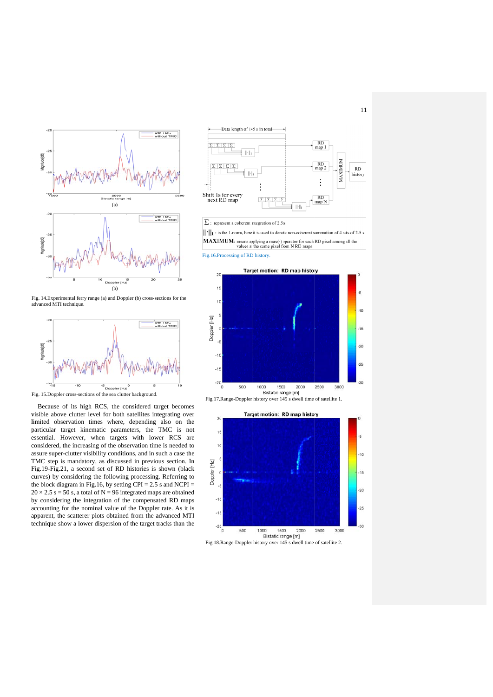

Fig. 14. Experimental ferry range (a) and Doppler (b) cross-sections for the a advanced MTI t technique.



Fig. 15. Doppler cross-sections of the sea clutter background.

visible above clutter level for both satellites integrating over limited observation times where, depending also on the particular target kinematic parameters, the TMC is not essential. However, when targets with lower RCS are considered, the increasing of the observation time is needed to assure super-clutter visibility conditions, and in such a case the TMC step is mandatory, as discussed in previous section. In Fig.19-Fig.21, a second set of RD histories is shown (black curves) by considering the following processing. Referring to the block diagram in Fig.16, by setting  $CPI = 2.5$  s and  $NCPI =$  $20 \times 2.5$  s = 50 s, a total of N = 96 integrated maps are obtained by considering the integration of the compensated RD maps accounting for the nominal value of the Doppler rate. As it is apparent, the scatterer plots obtained from the advanced MTI technique show a lower dispersion of the target tracks than the Because of its high RCS, the considered target becomes



 $\Sigma$ : represent a coherent integration of 2.5 s

 $\|\cdot\|_1$ : is the 1-norm, here it is used to denote non-coherent summation of 4 sets of 2.5 s **MAXIMUM:** means applying a max( $\cdot$ ) operator for each RD pixel among all the values at the same pixel from N RD maps

Fig.16.Processing of RD history.



Fig.17. Range-Doppler history over 145 s dwell time of satellite 1.

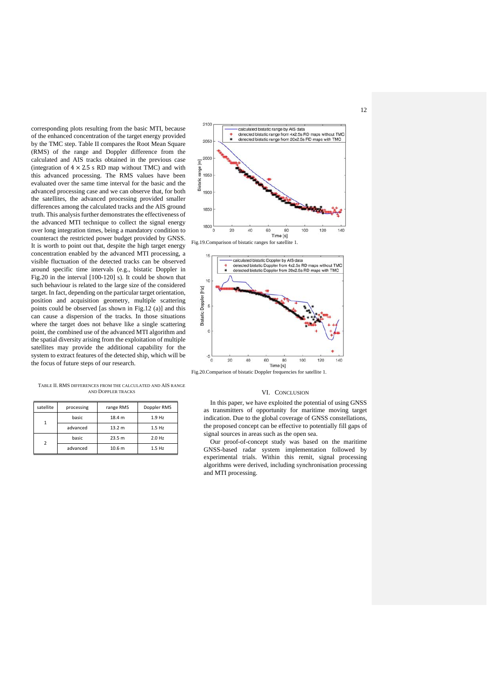corresponding plots resulting from the basic MTI, because of the enhanced concentration of the target energy provided by the TMC step. Table II compares the Root Mean Square (RMS) of the range and Doppler difference from the calculated and AIS tracks obtained in the previous case (integration of  $4 \times 2.5$  s RD map without TMC) and with this advanced processing. The RMS values have been evaluated over the same time interval for the basic and the advanced processing case and we can observe that, for both the satellites, the advanced processing provided smaller differences among the calculated tracks and the AIS ground truth. This analysis further demonstrates the effectiveness of the advanced MTI technique to collect the signal energy over long integration times, being a mandatory condition to counteract the restricted power budget provided by GNSS. It is worth to point out that, despite the high target energy concentration enabled by the advanced MTI processing, a visible fluctuation of the detected tracks can be observed around specific time intervals (e.g., bistatic Doppler in Fig.20 in the interval [100-120] s). It could be shown that such behaviour is related to the large size of the considered target. In fact, depending on the particular target orientation, position and acquisition geometry, multiple scattering points could be observed [as shown in Fig.12 (a)] and this can cause a dispersion of the tracks. In those situations where the target does not behave like a single scattering point, the combined use of the advanced MTI algorithm and the spatial diversity arising from the exploitation of multiple satellites may provide the additional capability for the system to extract features of the detected ship, which will be the focus of future steps of our research.

2100 calculated bistatic range by AIS data detected bistatic range from 4x2.5s RD maps without TM<br>detected bistatic range from 20x2.5s RD maps with TMC om 4x2.5s RD maps without TMC 2050 200  $\overline{E}$ range 1950 Bistatic 1900 1850 1800  $\overline{20}$  $40$ 60  $100$  $120$ 140 Time [s]

Fig.19.Comparison of bistatic ranges for satellite 1.



Fig.20.Comparison of bistatic Doppler frequencies for satellite 1.

#### VI. CONCLUSION

In this paper, we have exploited the potential of using GNSS as transmitters of opportunity for maritime moving target indication. Due to the global coverage of GNSS constellations, the proposed concept can be effective to potentially fill gaps of signal sources in areas such as the open sea.

Our proof-of-concept study was based on the maritime GNSS-based radar system implementation followed by experimental trials. Within this remit, signal processing algorithms were derived, including synchronisation processing and MTI processing.

TABLE II. RMS DIFFERENCES FROM THE CALCULATED AND AIS RANGE AND DOPPLER TRACKS

| satellite | processing | range RMS         | Doppler RMS |
|-----------|------------|-------------------|-------------|
|           | basic      | 18.4 m            | 1.9 Hz      |
|           | advanced   | 13.2 m            | $1.5$ Hz    |
| 2         | basic      | 23.5 m            | 2.0 Hz      |
|           | advanced   | 10.6 <sub>m</sub> | $1.5$ Hz    |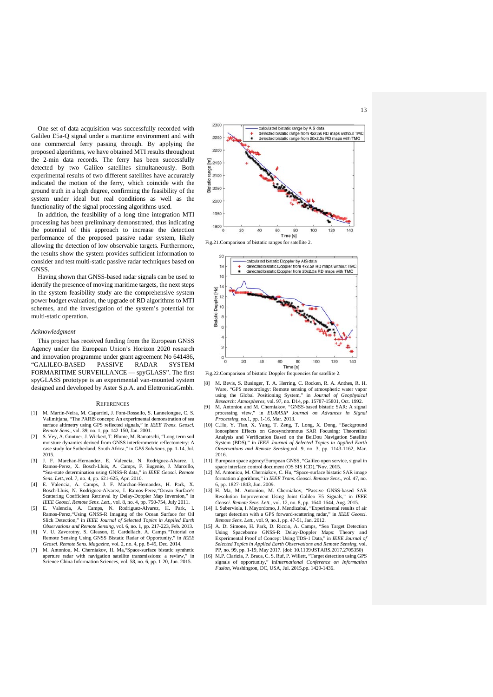One set of data acquisition was successfully recorded with Galileo E5a-Q signal under a maritime environment and with one commercial ferry passing through. By applying the proposed algorithms, we have obtained MTI results throughout the 2-min data records. The ferry has been successfully detected by two Galileo satellites simultaneously. Both experimental results of two different satellites have accurately indicated the motion of the ferry, which coincide with the ground truth in a high degree, confirming the feasibility of the system under ideal but real conditions as well as the functionality of the signal processing algorithms used.

In addition, the feasibility of a long time integration MTI processing has been preliminary demonstrated, thus indicating the potential of this approach to increase the detection performance of the proposed passive radar system, likely allowing the detection of low observable targets. Furthermore, the results show the system provides sufficient information to consider and test multi-static passive radar techniques based on **GNSS** 

Having shown that GNSS-based radar signals can be used to identify the presence of moving maritime targets, the next steps in the system feasibility study are the comprehensive system power budget evaluation, the upgrade of RD algorithms to MTI schemes, and the investigation of the system's potential for multi-static operation.

#### *Acknowledgment*

This project has received funding from the European GNSS Agency under the European Union's Horizon 2020 research and innovation programme under grant agreement No 641486, "GALILEO-BASED PASSIVE RADAR SYSTEM FORMARITIME SURVEILLANCE — spyGLASS". The first spyGLASS prototype is an experimental van-mounted system designed and developed by Aster S.p.A. and ElettronicaGmbh.

#### **REFERENCES**

- [1] M. Martin-Neira, M. Caparrini, J. Font-Rossello, S. Lannelongue, C. S. Vallmitjana, "The PARIS concept: An experimental demonstration of sea surface altimetry using GPS reflected signals," in *IEEE Trans. Geosci. Remote Sens*., vol. 39, no. 1, pp. 142-150, Jan. 2001. [2] S. Vey, A. Güntner, J. Wickert, T. Blume, M. Ramatschi, "Long-term soil
- moisture dynamics derived from GNSS interferometric reflectometry: A case study for Sutherland, South Africa," in *GPS Solutions*, pp. 1-14, Jul. 2015.
- [3] J. F. Marchan-Hernandez, E. Valencia, N. Rodriguez-Alvarez, I. Ramos-Perez, X. Bosch-Lluis, A. Camps, F. Eugenio, J. Marcello, "Sea-state determination using GNSS-R data," in *IEEE Geosci. Remote Sens. Lett.*,vol. 7, no. 4, pp. 621-625, Apr. 2010.
- [4] E. Valencia, A. Camps, J. F. Marchan-Hernandez, H. Park, X. Bosch-Lluis, N. Rodriguez-Alvarez, I. Ramos-Perez,"Ocean Surface's Scattering Coefficient Retrieval by Delay-Doppler Map Inversion," in *IEEE Geosci. Remote Sens. Lett.*, vol. 8, no. 4, pp. 750-754, July 2011.
- [5] E. Valencia, A. Camps, N. Rodriguez-Alvarez, H. Park, I. Ramos-Perez,"Using GNSS-R Imaging of the Ocean Surface for Oil Slick Detection," in *IEEE Journal of Selected Topics in Applied Earth*
- *Observations and Remote Sensing*, vol. 6, no. 1, pp. 217-223, Feb. 2013. [6] V. U. Zavorotny, S. Gleason, E. Cardellach, A. Camps,"Tutorial on Remote Sensing Using GNSS Bistatic Radar of Opportunity," in *IEEE Geosci. Remote Sens. Magazine*, vol. 2, no. 4, pp. 8-45, Dec. 2014.
- [7] M. Antoniou, M. Cherniakov, H. Ma,"Space-surface bistatic synthetic aperture radar with navigation satellite transmissions: a review, Science China Information Sciences, vol. 58, no. 6, pp. 1-20, Jun. 2015.



Fig.21.Comparison of bistatic ranges for satellite 2.



Fig.22.Comparison of bistatic Doppler frequencies for satellite 2.

- [8] M. Bevis, S. Businger, T. A. Herring, C. Rocken, R. A. Anthes, R. H. Ware, "GPS meteorology: Remote sensing of atmospheric water vapor<br>using the Global Positioning System," in Journal of Geophysical<br>Research: Atmospheres, vol. 97, no. D14, pp. 15787-15801, Oct. 1992.<br>[9] M. Antoniou and M.
- *Processing*, no.1, pp. 1-16, Mar. 2013.
- [10] C.Hu, Y. Tian, X. Yang, T. Zeng, T. Long, X. Dong, "Background Ionosphere Effects on Geosynchronous SAR Focusing: Theoretical Analysis and Verification Based on the BeiDou Navigation Satellite System (BDS)," in *IEEE Journal of Selected Topics in Applied Earth Observations and Remote Sensing*,vol. 9, no. 3, pp. 1143-1162, Mar. 2016.
- [11] European space agency/European GNSS, "Galileo open service, signal in
- space interface control document (OS SIS ICD),"Nov. 2015. [12] M. Antoniou, M. Cherniakov, C. Hu, "Space-surface bistatic SAR image formation algorithms," in *IEEE Trans. Geosci. Remote Sens*., vol. 47, no.
- 6, pp. 1827-1843, Jun. 2009. [13] H. Ma, M. Antoniou, M. Cherniakov, "Passive GNSS-based SAR Resolution Improvement Using Joint Galileo E5 Signals," in *IEEE Geosci. Remote Sens. Lett.*, vol. 12, no. 8, pp. 1640-1644, Aug. 2015.
- [14] I. Suberviola, I. Mayordomo, J. Mendizabal, "Experimental results of air target detection with a GPS forward-scattering radar," in *IEEE Geosci. Remote Sens. Lett.*, vol. 9, no.1, pp. 47-51, Jan. 2012.
- [15] A. Di Simone, H. Park, D. Riccio, A. Camps, "Sea Target Detection Using Spaceborne GNSS-R Delay-Doppler Maps: Theory and Experimental Proof of Concept Using TDS-1 Data," in *IEEE Journal of Selected Topics in Applied Earth Observations and Remote Sensing*, vol. PP, no. 99, pp. 1-19, May 2017. (doi: 10.1109/JSTARS.2017.2705350)
- [16] M.P. Clarizia, P. Braca, C. S. Ruf, P. Willett, "Target detection using GPS signals of opportunity," in*International Conference on Information Fusion*, Washington, DC, USA, Jul. 2015,pp. 1429-1436.